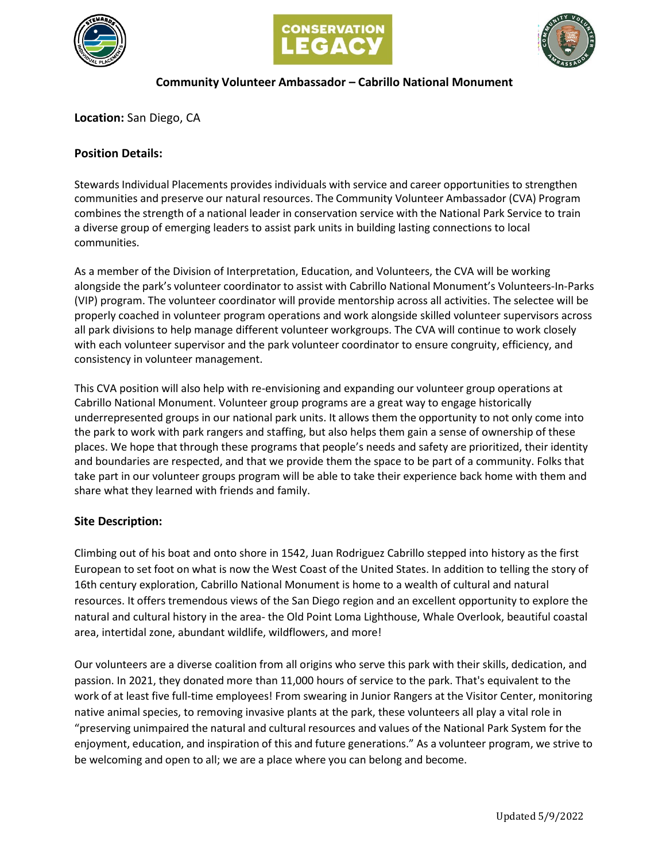





## **Community Volunteer Ambassador – Cabrillo National Monument**

**Location:** San Diego, CA

# **Position Details:**

Stewards Individual Placements provides individuals with service and career opportunities to strengthen communities and preserve our natural resources. The Community Volunteer Ambassador (CVA) Program combines the strength of a national leader in conservation service with the National Park Service to train a diverse group of emerging leaders to assist park units in building lasting connections to local communities.

As a member of the Division of Interpretation, Education, and Volunteers, the CVA will be working alongside the park's volunteer coordinator to assist with Cabrillo National Monument's Volunteers-In-Parks (VIP) program. The volunteer coordinator will provide mentorship across all activities. The selectee will be properly coached in volunteer program operations and work alongside skilled volunteer supervisors across all park divisions to help manage different volunteer workgroups. The CVA will continue to work closely with each volunteer supervisor and the park volunteer coordinator to ensure congruity, efficiency, and consistency in volunteer management.

This CVA position will also help with re-envisioning and expanding our volunteer group operations at Cabrillo National Monument. Volunteer group programs are a great way to engage historically underrepresented groups in our national park units. It allows them the opportunity to not only come into the park to work with park rangers and staffing, but also helps them gain a sense of ownership of these places. We hope that through these programs that people's needs and safety are prioritized, their identity and boundaries are respected, and that we provide them the space to be part of a community. Folks that take part in our volunteer groups program will be able to take their experience back home with them and share what they learned with friends and family.

## **Site Description:**

Climbing out of his boat and onto shore in 1542, Juan Rodriguez Cabrillo stepped into history as the first European to set foot on what is now the West Coast of the United States. In addition to telling the story of 16th century exploration, Cabrillo National Monument is home to a wealth of cultural and natural resources. It offers tremendous views of the San Diego region and an excellent opportunity to explore the natural and cultural history in the area- the Old Point Loma Lighthouse, Whale Overlook, beautiful coastal area, intertidal zone, abundant wildlife, wildflowers, and more!

Our volunteers are a diverse coalition from all origins who serve this park with their skills, dedication, and passion. In 2021, they donated more than 11,000 hours of service to the park. That's equivalent to the work of at least five full-time employees! From swearing in Junior Rangers at the Visitor Center, monitoring native animal species, to removing invasive plants at the park, these volunteers all play a vital role in "preserving unimpaired the natural and cultural resources and values of the National Park System for the enjoyment, education, and inspiration of this and future generations." As a volunteer program, we strive to be welcoming and open to all; we are a place where you can belong and become.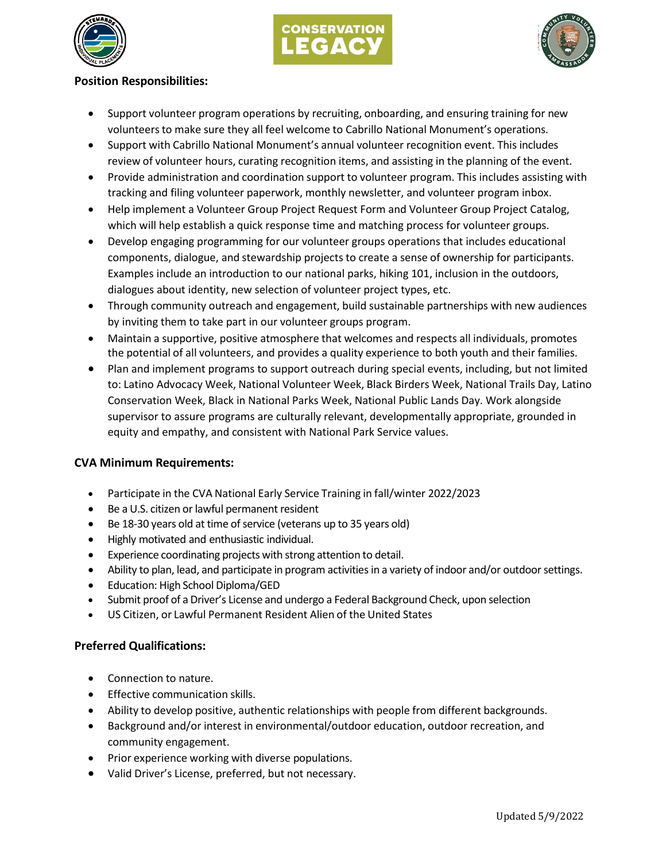





### **Position Responsibilities:**

- Support volunteer program operations by recruiting, onboarding, and ensuring training for new volunteersto make sure they all feel welcome to Cabrillo National Monument's operations.
- Support with Cabrillo National Monument's annual volunteer recognition event. This includes review of volunteer hours, curating recognition items, and assisting in the planning of the event.
- Provide administration and coordination support to volunteer program. This includes assisting with tracking and filing volunteer paperwork, monthly newsletter, and volunteer program inbox.
- Help implement a Volunteer Group Project Request Form and Volunteer Group Project Catalog, which will help establish a quick response time and matching process for volunteer groups.
- Develop engaging programming for our volunteer groups operations that includes educational components, dialogue, and stewardship projects to create a sense of ownership for participants. Examples include an introduction to our national parks, hiking 101, inclusion in the outdoors, dialogues about identity, new selection of volunteer project types, etc.
- Through community outreach and engagement, build sustainable partnerships with new audiences by inviting them to take part in our volunteer groups program.
- Maintain a supportive, positive atmosphere that welcomes and respects all individuals, promotes the potential of all volunteers, and provides a quality experience to both youth and their families.
- Plan and implement programs to support outreach during special events, including, but not limited to: Latino Advocacy Week, National Volunteer Week, Black Birders Week, National Trails Day, Latino Conservation Week, Black in National Parks Week, National Public Lands Day. Work alongside supervisor to assure programs are culturally relevant, developmentally appropriate, grounded in equity and empathy, and consistent with National Park Service values.

## **CVA Minimum Requirements:**

- Participate in the CVA National Early Service Training in fall/winter 2022/2023
- Be a U.S. citizen or lawful permanent resident
- $\bullet$  Be 18-30 years old at time of service (veterans up to 35 years old)
- Highly motivated and enthusiastic individual.
- Experience coordinating projects with strong attention to detail.
- Ability to plan, lead, and participate in program activities in a variety of indoor and/or outdoor settings.
- Education: High School Diploma/GED
- Submit proof of a Driver's License and undergo a Federal Background Check, upon selection
- US Citizen, or Lawful Permanent Resident Alien of the United States

## **Preferred Qualifications:**

- Connection to nature.
- Effective communication skills.
- Ability to develop positive, authentic relationships with people from different backgrounds.
- Background and/or interest in environmental/outdoor education, outdoor recreation, and community engagement.
- Prior experience working with diverse populations.
- Valid Driver's License, preferred, but not necessary.